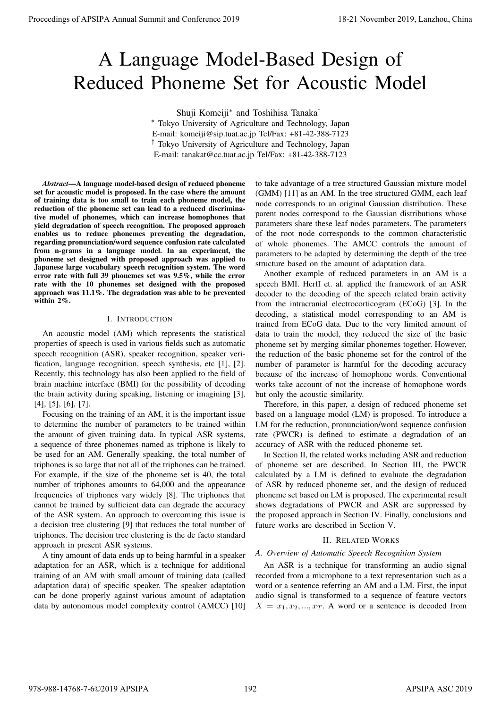# A Language Model-Based Design of Reduced Phoneme Set for Acoustic Model

Shuji Komeiji*<sup>∗</sup>* and Toshihisa Tanaka*†*

*<sup>∗</sup>* Tokyo University of Agriculture and Technology, Japan E-mail: komeiji@sip.tuat.ac.jp Tel/Fax: +81-42-388-7123 *†* Tokyo University of Agriculture and Technology, Japan E-mail: tanakat@cc.tuat.ac.jp Tel/Fax: +81-42-388-7123

*Abstract*—A language model-based design of reduced phoneme set for acoustic model is proposed. In the case where the amount of training data is too small to train each phoneme model, the reduction of the phoneme set can lead to a reduced discriminative model of phonemes, which can increase homophones that yield degradation of speech recognition. The proposed approach enables us to reduce phonemes preventing the degradation, regarding pronunciation/word sequence confusion rate calculated from n-grams in a language model. In an experiment, the phoneme set designed with proposed approach was applied to Japanese large vocabulary speech recognition system. The word error rate with full 39 phonemes set was 9.5%, while the error rate with the 10 phonemes set designed with the proposed approach was 11.1%. The degradation was able to be prevented within 2%.

# I. INTRODUCTION

An acoustic model (AM) which represents the statistical properties of speech is used in various fields such as automatic speech recognition (ASR), speaker recognition, speaker verification, language recognition, speech synthesis, etc [1], [2]. Recently, this technology has also been applied to the field of brain machine interface (BMI) for the possibility of decoding the brain activity during speaking, listening or imagining [3], [4], [5], [6], [7].

Focusing on the training of an AM, it is the important issue to determine the number of parameters to be trained within the amount of given training data. In typical ASR systems, a sequence of three phonemes named as triphone is likely to be used for an AM. Generally speaking, the total number of triphones is so large that not all of the triphones can be trained. For example, if the size of the phoneme set is 40, the total number of triphones amounts to 64,000 and the appearance frequencies of triphones vary widely [8]. The triphones that cannot be trained by sufficient data can degrade the accuracy of the ASR system. An approach to overcoming this issue is a decision tree clustering [9] that reduces the total number of triphones. The decision tree clustering is the de facto standard approach in present ASR systems. **Proceedings of APSIPA Annual Summit and Conference 2019**<br>
A Language Model - Bassel of Conference 2019<br>
A Language Model - Bassel of Conference 2019<br>  $\frac{1}{7}$  also the recent 2019 and Conference 2019<br>  $\frac{1}{7}$  also the

A tiny amount of data ends up to being harmful in a speaker adaptation for an ASR, which is a technique for additional training of an AM with small amount of training data (called adaptation data) of specific speaker. The speaker adaptation can be done properly against various amount of adaptation data by autonomous model complexity control (AMCC) [10]

to take advantage of a tree structured Gaussian mixture model (GMM) [11] as an AM. In the tree structured GMM, each leaf node corresponds to an original Gaussian distribution. These parent nodes correspond to the Gaussian distributions whose parameters share these leaf nodes parameters. The parameters of the root node corresponds to the common characteristic of whole phonemes. The AMCC controls the amount of parameters to be adapted by determining the depth of the tree structure based on the amount of adaptation data.

Another example of reduced parameters in an AM is a speech BMI. Herff et. al. applied the framework of an ASR decoder to the decoding of the speech related brain activity from the intracranial electrocorticogram (ECoG) [3]. In the decoding, a statistical model corresponding to an AM is trained from ECoG data. Due to the very limited amount of data to train the model, they reduced the size of the basic phoneme set by merging similar phonemes together. However, the reduction of the basic phoneme set for the control of the number of parameter is harmful for the decoding accuracy because of the increase of homophone words. Conventional works take account of not the increase of homophone words but only the acoustic similarity.

Therefore, in this paper, a design of reduced phoneme set based on a language model (LM) is proposed. To introduce a LM for the reduction, pronunciation/word sequence confusion rate (PWCR) is defined to estimate a degradation of an accuracy of ASR with the reduced phoneme set.

In Section II, the related works including ASR and reduction of phoneme set are described. In Section III, the PWCR calculated by a LM is defined to evaluate the degradation of ASR by reduced phoneme set, and the design of reduced phoneme set based on LM is proposed. The experimental result shows degradations of PWCR and ASR are suppressed by the proposed approach in Section IV. Finally, conclusions and future works are described in Section V.

# II. RELATED WORKS

## *A. Overview of Automatic Speech Recognition System*

An ASR is a technique for transforming an audio signal recorded from a microphone to a text representation such as a word or a sentence referring an AM and a LM. First, the input audio signal is transformed to a sequence of feature vectors  $X = x_1, x_2, \ldots, x_T$ . A word or a sentence is decoded from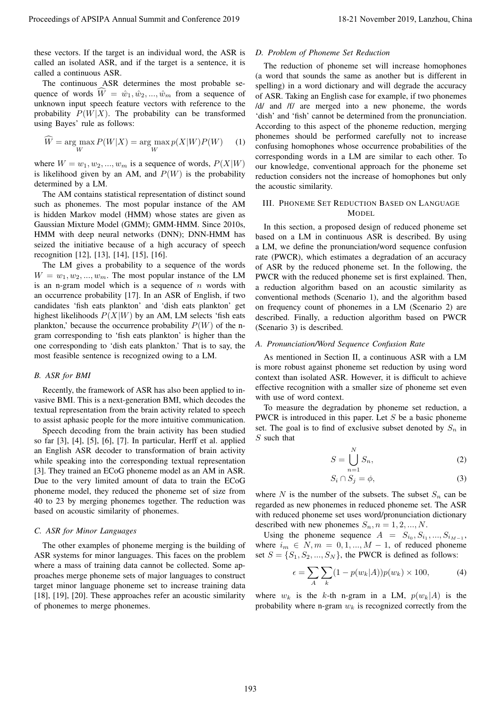these vectors. If the target is an individual word, the ASR is called an isolated ASR, and if the target is a sentence, it is called a continuous ASR.

The continuous ASR determines the most probable sequence of words  $\hat{W} = \hat{w}_1, \hat{w}_2, ..., \hat{w}_m$  from a sequence of unknown input speech feature vectors with reference to the probability  $P(W|X)$ . The probability can be transformed using Bayes' rule as follows:

$$
\widehat{W} = \underset{W}{\text{arg max}} P(W|X) = \underset{W}{\text{arg max}} p(X|W)P(W) \tag{1}
$$

where  $W = w_1, w_2, ..., w_m$  is a sequence of words,  $P(X|W)$ is likelihood given by an AM, and  $P(W)$  is the probability determined by a LM.

The AM contains statistical representation of distinct sound such as phonemes. The most popular instance of the AM is hidden Markov model (HMM) whose states are given as Gaussian Mixture Model (GMM); GMM-HMM. Since 2010s, HMM with deep neural networks (DNN); DNN-HMM has seized the initiative because of a high accuracy of speech recognition [12], [13], [14], [15], [16].

The LM gives a probability to a sequence of the words  $W = w_1, w_2, \dots, w_m$ . The most popular instance of the LM is an n-gram model which is a sequence of *n* words with an occurrence probability [17]. In an ASR of English, if two candidates 'fish eats plankton' and 'dish eats plankton' get highest likelihoods  $P(X|W)$  by an AM, LM selects 'fish eats plankton,' because the occurrence probability  $P(W)$  of the ngram corresponding to 'fish eats plankton' is higher than the one corresponding to 'dish eats plankton.' That is to say, the most feasible sentence is recognized owing to a LM.

## *B. ASR for BMI*

Recently, the framework of ASR has also been applied to invasive BMI. This is a next-generation BMI, which decodes the textual representation from the brain activity related to speech to assist aphasic people for the more intuitive communication.

Speech decoding from the brain activity has been studied so far [3], [4], [5], [6], [7]. In particular, Herff et al. applied an English ASR decoder to transformation of brain activity while speaking into the corresponding textual representation [3]. They trained an ECoG phoneme model as an AM in ASR. Due to the very limited amount of data to train the ECoG phoneme model, they reduced the phoneme set of size from 40 to 23 by merging phonemes together. The reduction was based on acoustic similarity of phonemes.

## *C. ASR for Minor Languages*

The other examples of phoneme merging is the building of ASR systems for minor languages. This faces on the problem where a mass of training data cannot be collected. Some approaches merge phoneme sets of major languages to construct target minor language phoneme set to increase training data [18], [19], [20]. These approaches refer an acoustic similarity of phonemes to merge phonemes.

#### *D. Problem of Phoneme Set Reduction*

The reduction of phoneme set will increase homophones (a word that sounds the same as another but is different in spelling) in a word dictionary and will degrade the accuracy of ASR. Taking an English case for example, if two phonemes /d/ and /f/ are merged into a new phoneme, the words 'dish' and 'fish' cannot be determined from the pronunciation. According to this aspect of the phoneme reduction, merging phonemes should be performed carefully not to increase confusing homophones whose occurrence probabilities of the corresponding words in a LM are similar to each other. To our knowledge, conventional approach for the phoneme set reduction considers not the increase of homophones but only the acoustic similarity. Proceeding of APSIPA Annual Summit and Conference 2019<br>
An use of the conference 2019 18-21 November 2019 18-21 November 2019 18-21 November 2019 18:30 November 2019 18:30 November 2019 18:30 November 2019 18:30 November

## III. PHONEME SET REDUCTION BASED ON LANGUAGE MODEL

In this section, a proposed design of reduced phoneme set based on a LM in continuous ASR is described. By using a LM, we define the pronunciation/word sequence confusion rate (PWCR), which estimates a degradation of an accuracy of ASR by the reduced phoneme set. In the following, the PWCR with the reduced phoneme set is first explained. Then, a reduction algorithm based on an acoustic similarity as conventional methods (Scenario 1), and the algorithm based on frequency count of phonemes in a LM (Scenario 2) are described. Finally, a reduction algorithm based on PWCR (Scenario 3) is described.

## *A. Pronunciation/Word Sequence Confusion Rate*

As mentioned in Section II, a continuous ASR with a LM is more robust against phoneme set reduction by using word context than isolated ASR. However, it is difficult to achieve effective recognition with a smaller size of phoneme set even with use of word context.

To measure the degradation by phoneme set reduction, a PWCR is introduced in this paper. Let *S* be a basic phoneme set. The goal is to find of exclusive subset denoted by  $S_n$  in *S* such that

$$
S = \bigcup_{n=1}^{N} S_n,\tag{2}
$$

$$
S_i \cap S_j = \phi,\tag{3}
$$

where *N* is the number of the subsets. The subset  $S_n$  can be regarded as new phonemes in reduced phoneme set. The ASR with reduced phoneme set uses word/pronunciation dictionary described with new phonemes  $S_n$ ,  $n = 1, 2, ..., N$ .

Using the phoneme sequence  $A = S_{i_0}, S_{i_1}, \ldots, S_{i_{M-1}},$ where  $i_m \in N, m = 0, 1, ..., M - 1$ , of reduced phoneme set  $S = \{S_1, S_2, ..., S_N\}$ , the PWCR is defined as follows:

$$
\epsilon = \sum_{A} \sum_{k} (1 - p(w_k|A)) p(w_k) \times 100,
$$
 (4)

where  $w_k$  is the *k*-th n-gram in a LM,  $p(w_k|A)$  is the probability where n-gram  $w_k$  is recognized correctly from the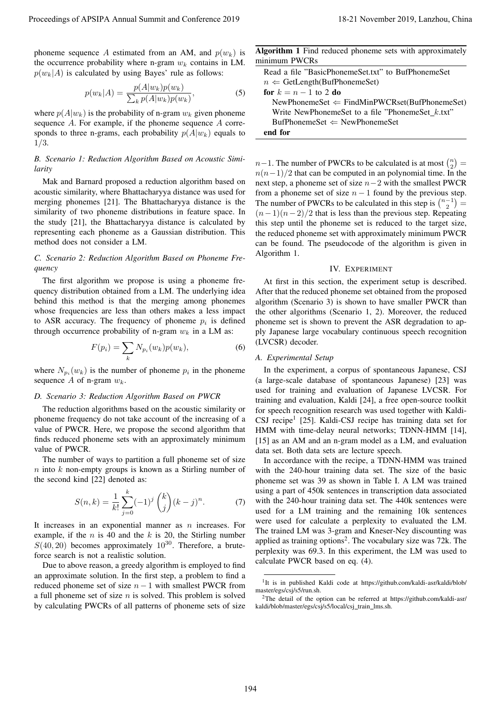phoneme sequence *A* estimated from an AM, and  $p(w_k)$  is the occurrence probability where n-gram  $w_k$  contains in LM.  $p(w_k|A)$  is calculated by using Bayes' rule as follows:

$$
p(w_k|A) = \frac{p(A|w_k)p(w_k)}{\sum_k p(A|w_k)p(w_k)},
$$
\n<sup>(5)</sup>

where  $p(A|w_k)$  is the probability of n-gram  $w_k$  given phoneme sequence *A*. For example, if the phoneme sequence *A* corresponds to three n-grams, each probability  $p(A|w_k)$  equals to 1*/*3.

# *B. Scenario 1: Reduction Algorithm Based on Acoustic Similarity*

Mak and Barnard proposed a reduction algorithm based on acoustic similarity, where Bhattacharyya distance was used for merging phonemes [21]. The Bhattacharyya distance is the similarity of two phoneme distributions in feature space. In the study [21], the Bhattacharyya distance is calculated by representing each phoneme as a Gaussian distribution. This method does not consider a LM.

# *C. Scenario 2: Reduction Algorithm Based on Phoneme Frequency*

The first algorithm we propose is using a phoneme frequency distribution obtained from a LM. The underlying idea behind this method is that the merging among phonemes whose frequencies are less than others makes a less impact to ASR accuracy. The frequency of phoneme  $p_i$  is defined through occurrence probability of n-gram  $w_k$  in a LM as:

$$
F(p_i) = \sum_k N_{p_i}(w_k)p(w_k),\tag{6}
$$

where  $N_{p_i}(w_k)$  is the number of phoneme  $p_i$  in the phoneme sequence *A* of n-gram  $w_k$ .

## *D. Scenario 3: Reduction Algorithm Based on PWCR*

The reduction algorithms based on the acoustic similarity or phoneme frequency do not take account of the increasing of a value of PWCR. Here, we propose the second algorithm that finds reduced phoneme sets with an approximately minimum value of PWCR.

The number of ways to partition a full phoneme set of size *n* into *k* non-empty groups is known as a Stirling number of the second kind [22] denoted as:

$$
S(n,k) = \frac{1}{k!} \sum_{j=0}^{k} (-1)^j {k \choose j} (k-j)^n.
$$
 (7)

It increases in an exponential manner as *n* increases. For example, if the *n* is 40 and the *k* is 20, the Stirling number  $S(40, 20)$  becomes approximately  $10^{30}$ . Therefore, a bruteforce search is not a realistic solution.

Due to above reason, a greedy algorithm is employed to find an approximate solution. In the first step, a problem to find a reduced phoneme set of size *n −* 1 with smallest PWCR from a full phoneme set of size *n* is solved. This problem is solved by calculating PWCRs of all patterns of phoneme sets of size

|               |  |  | Algorithm 1 Find reduced phoneme sets with approximately |
|---------------|--|--|----------------------------------------------------------|
| minimum PWCRs |  |  |                                                          |

| Read a file "BasicPhonemeSet.txt" to BufPhonemeSet      |
|---------------------------------------------------------|
| $n \leftarrow$ GetLength(BufPhonemeSet)                 |
| for $k = n - 1$ to 2 do                                 |
| $NewPhonemeet \Leftarrow FindMinPWCRset(BufPhonemeSet)$ |
| Write NewPhonemeSet to a file "PhonemeSet $k$ .txt"     |
| $But PhonemeSet \Leftarrow NewPhonemeSet$               |
| end for                                                 |

*n*−1. The number of PWCRs to be calculated is at most  $\binom{n}{2}$  =  $n(n-1)/2$  that can be computed in an polynomial time. In the next step, a phoneme set of size *n−*2 with the smallest PWCR from a phoneme set of size  $n-1$  found by the previous step. The number of PWCRs to be calculated in this step is  $\binom{n-1}{2}$ (*n−*1)(*n−*2)*/*2 that is less than the previous step. Repeating this step until the phoneme set is reduced to the target size, the reduced phoneme set with approximately minimum PWCR can be found. The pseudocode of the algorithm is given in Algorithm 1.

#### IV. EXPERIMENT

At first in this section, the experiment setup is described. After that the reduced phoneme set obtained from the proposed algorithm (Scenario 3) is shown to have smaller PWCR than the other algorithms (Scenario 1, 2). Moreover, the reduced phoneme set is shown to prevent the ASR degradation to apply Japanese large vocabulary continuous speech recognition (LVCSR) decoder.

### *A. Experimental Setup*

In the experiment, a corpus of spontaneous Japanese, CSJ (a large-scale database of spontaneous Japanese) [23] was used for training and evaluation of Japanese LVCSR. For training and evaluation, Kaldi [24], a free open-source toolkit for speech recognition research was used together with Kaldi-CSJ recipe<sup>1</sup> [25]. Kaldi-CSJ recipe has training data set for HMM with time-delay neural networks; TDNN-HMM [14], [15] as an AM and an n-gram model as a LM, and evaluation data set. Both data sets are lecture speech.

In accordance with the recipe, a TDNN-HMM was trained with the 240-hour training data set. The size of the basic phoneme set was 39 as shown in Table I. A LM was trained using a part of 450k sentences in transcription data associated with the 240-hour training data set. The 440k sentences were used for a LM training and the remaining 10k sentences were used for calculate a perplexity to evaluated the LM. The trained LM was 3-gram and Kneser-Ney discounting was applied as training options<sup>2</sup>. The vocabulary size was 72 $k$ . The perplexity was 69.3. In this experiment, the LM was used to calculate PWCR based on eq. (4). Proceeding of APSIPA Annual Summit and Conference 2019.<br>
The concess operation of the summit and Language 1. Where the main and Conference 2019 in the summit and conference 2019 in the summit and conference 2019 in the su

<sup>&</sup>lt;sup>1</sup>It is in published Kaldi code at https://github.com/kaldi-asr/kaldi/blob/ master/egs/csj/s5/run.sh.

<sup>2</sup>The detail of the option can be referred at https://github.com/kaldi-asr/ kaldi/blob/master/egs/csj/s5/local/csj\_train\_lms.sh.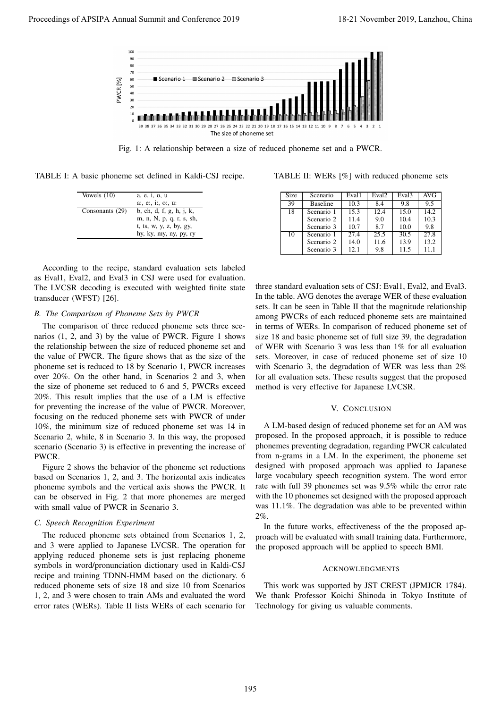

Fig. 1: A relationship between a size of reduced phoneme set and a PWCR.

TABLE I: A basic phoneme set defined in Kaldi-CSJ recipe.

| Vowels $(10)$   | a, e, i, o, u                                                                                             |
|-----------------|-----------------------------------------------------------------------------------------------------------|
|                 | a:, e:, i:, o:, u:                                                                                        |
| Consonants (29) |                                                                                                           |
|                 |                                                                                                           |
|                 |                                                                                                           |
|                 | b, ch, d, f, g, h, j, k,<br>m, n, N, p, q, r, s, sh,<br>t, ts, w, y, z, by, gy,<br>hy, ky, my, ny, py, ry |

According to the recipe, standard evaluation sets labeled as Eval1, Eval2, and Eval3 in CSJ were used for evaluation. The LVCSR decoding is executed with weighted finite state transducer (WFST) [26].

### *B. The Comparison of Phoneme Sets by PWCR*

The comparison of three reduced phoneme sets three scenarios (1, 2, and 3) by the value of PWCR. Figure 1 shows the relationship between the size of reduced phoneme set and the value of PWCR. The figure shows that as the size of the phoneme set is reduced to 18 by Scenario 1, PWCR increases over 20%. On the other hand, in Scenarios 2 and 3, when the size of phoneme set reduced to 6 and 5, PWCRs exceed 20%. This result implies that the use of a LM is effective for preventing the increase of the value of PWCR. Moreover, focusing on the reduced phoneme sets with PWCR of under 10%, the minimum size of reduced phoneme set was 14 in Scenario 2, while, 8 in Scenario 3. In this way, the proposed scenario (Scenario 3) is effective in preventing the increase of PWCR. **Proceeding of APSIPA Annual Summit and Conference 2019**<br>
Proceedings of Apsiral Summit and Conference 2019 and Conference 2019 and Conference 2019<br>
Proceeding and Conference 2019 and Conference 2019 and Conference 2019<br>

Figure 2 shows the behavior of the phoneme set reductions based on Scenarios 1, 2, and 3. The horizontal axis indicates phoneme symbols and the vertical axis shows the PWCR. It can be observed in Fig. 2 that more phonemes are merged with small value of PWCR in Scenario 3.

#### *C. Speech Recognition Experiment*

The reduced phoneme sets obtained from Scenarios 1, 2, and 3 were applied to Japanese LVCSR. The operation for applying reduced phoneme sets is just replacing phoneme symbols in word/pronunciation dictionary used in Kaldi-CSJ recipe and training TDNN-HMM based on the dictionary. 6 reduced phoneme sets of size 18 and size 10 from Scenarios 1, 2, and 3 were chosen to train AMs and evaluated the word error rates (WERs). Table II lists WERs of each scenario for

| <b>Size</b> | Scenario        | Eval1 | Eval <sub>2</sub> | Eval <sub>3</sub> | AVG  |
|-------------|-----------------|-------|-------------------|-------------------|------|
| 39          | <b>Baseline</b> | 10.3  | 8.4               | 9.8               | 9.5  |
| 18          | Scenario 1      | 15.3  | 12.4              | 15.0              | 14.2 |
|             | Scenario 2      | 11.4  | 9.0               | 10.4              | 10.3 |
|             | Scenario 3      | 10.7  | 8.7               | 10.0              | 9.8  |
| 10          | Scenario 1      | 27.4  | 25.5              | 30.5              | 27.8 |
|             | Scenario 2      | 14.0  | 11.6              | 13.9              | 13.2 |
|             | Scenario 3      | 12.1  | 9.8               | 11.5              | 11.1 |

three standard evaluation sets of CSJ: Eval1, Eval2, and Eval3. In the table. AVG denotes the average WER of these evaluation sets. It can be seen in Table II that the magnitude relationship among PWCRs of each reduced phoneme sets are maintained in terms of WERs. In comparison of reduced phoneme set of size 18 and basic phoneme set of full size 39, the degradation of WER with Scenario 3 was less than 1% for all evaluation sets. Moreover, in case of reduced phoneme set of size 10 with Scenario 3, the degradation of WER was less than 2% for all evaluation sets. These results suggest that the proposed method is very effective for Japanese LVCSR.

# V. CONCLUSION

A LM-based design of reduced phoneme set for an AM was proposed. In the proposed approach, it is possible to reduce phonemes preventing degradation, regarding PWCR calculated from n-grams in a LM. In the experiment, the phoneme set designed with proposed approach was applied to Japanese large vocabulary speech recognition system. The word error rate with full 39 phonemes set was 9.5% while the error rate with the 10 phonemes set designed with the proposed approach was 11.1%. The degradation was able to be prevented within 2%.

In the future works, effectiveness of the the proposed approach will be evaluated with small training data. Furthermore, the proposed approach will be applied to speech BMI.

#### **ACKNOWLEDGMENTS**

This work was supported by JST CREST (JPMJCR 1784). We thank Professor Koichi Shinoda in Tokyo Institute of Technology for giving us valuable comments.

TABLE II: WERs [%] with reduced phoneme sets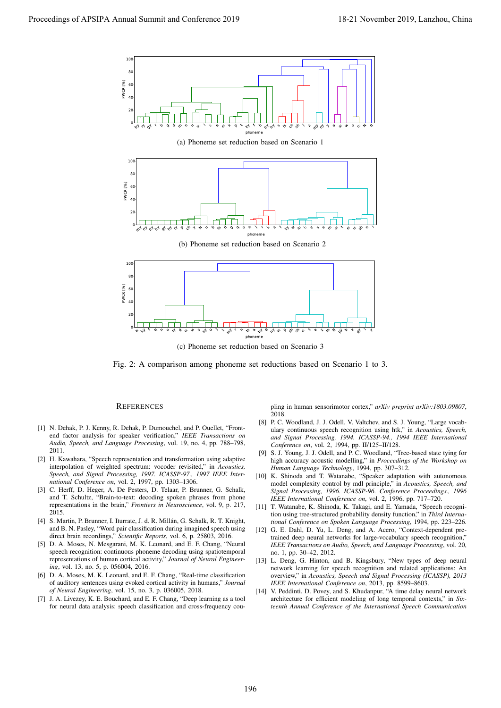

(c) Phoneme set reduction based on Scenario 3

Fig. 2: A comparison among phoneme set reductions based on Scenario 1 to 3.

## **REFERENCES**

- [1] N. Dehak, P. J. Kenny, R. Dehak, P. Dumouchel, and P. Ouellet, "Frontend factor analysis for speaker verification," *IEEE Transactions on Audio, Speech, and Language Processing*, vol. 19, no. 4, pp. 788–798, 2011.
- [2] H. Kawahara, "Speech representation and transformation using adaptive interpolation of weighted spectrum: vocoder revisited," in *Acoustics, Speech, and Signal Processing, 1997. ICASSP-97., 1997 IEEE International Conference on*, vol. 2, 1997, pp. 1303–1306.
- [3] C. Herff, D. Heger, A. De Pesters, D. Telaar, P. Brunner, G. Schalk, and T. Schultz, "Brain-to-text: decoding spoken phrases from phone representations in the brain," *Frontiers in Neuroscience*, vol. 9, p. 217, 2015.
- [4] S. Martin, P. Brunner, I. Iturrate, J. d. R. Millán, G. Schalk, R. T. Knight, and B. N. Pasley, "Word pair classification during imagined speech using direct brain recordings," *Scientific Reports*, vol. 6, p. 25803, 2016.
- [5] D. A. Moses, N. Mesgarani, M. K. Leonard, and E. F. Chang, "Neural speech recognition: continuous phoneme decoding using spatiotemporal representations of human cortical activity," *Journal of Neural Engineering*, vol. 13, no. 5, p. 056004, 2016.
- [6] D. A. Moses, M. K. Leonard, and E. F. Chang, "Real-time classification of auditory sentences using evoked cortical activity in humans," *Journal of Neural Engineering*, vol. 15, no. 3, p. 036005, 2018.
- [7] J. A. Livezey, K. E. Bouchard, and E. F. Chang, "Deep learning as a tool for neural data analysis: speech classification and cross-frequency cou-

pling in human sensorimotor cortex," *arXiv preprint arXiv:1803.09807*, 2018.

- [8] P. C. Woodland, J. J. Odell, V. Valtchev, and S. J. Young, "Large vocabulary continuous speech recognition using htk," in *Acoustics, Speech, and Signal Processing, 1994. ICASSP-94., 1994 IEEE International Conference on*, vol. 2, 1994, pp. II/125–II/128.
- [9] S. J. Young, J. J. Odell, and P. C. Woodland, "Tree-based state tying for high accuracy acoustic modelling," in *Proceedings of the Workshop on Human Language Technology*, 1994, pp. 307–312.
- [10] K. Shinoda and T. Watanabe, "Speaker adaptation with autonomous model complexity control by mdl principle," in *Acoustics, Speech, and Signal Processing, 1996. ICASSP-96. Conference Proceedings., 1996 IEEE International Conference on*, vol. 2, 1996, pp. 717–720.
- [11] T. Watanabe, K. Shinoda, K. Takagi, and E. Yamada, "Speech recognition using tree-structured probability density function," in *Third International Conference on Spoken Language Processing*, 1994, pp. 223–226.
- [12] G. E. Dahl, D. Yu, L. Deng, and A. Acero, "Context-dependent pretrained deep neural networks for large-vocabulary speech recognition," *IEEE Transactions on Audio, Speech, and Language Processing*, vol. 20, no. 1, pp. 30–42, 2012.
- [13] L. Deng, G. Hinton, and B. Kingsbury, "New types of deep neural network learning for speech recognition and related applications: An overview," in *Acoustics, Speech and Signal Processing (ICASSP), 2013 IEEE International Conference on*, 2013, pp. 8599–8603.
- [14] V. Peddinti, D. Povey, and S. Khudanpur, "A time delay neural network architecture for efficient modeling of long temporal contexts," in *Sixteenth Annual Conference of the International Speech Communication*